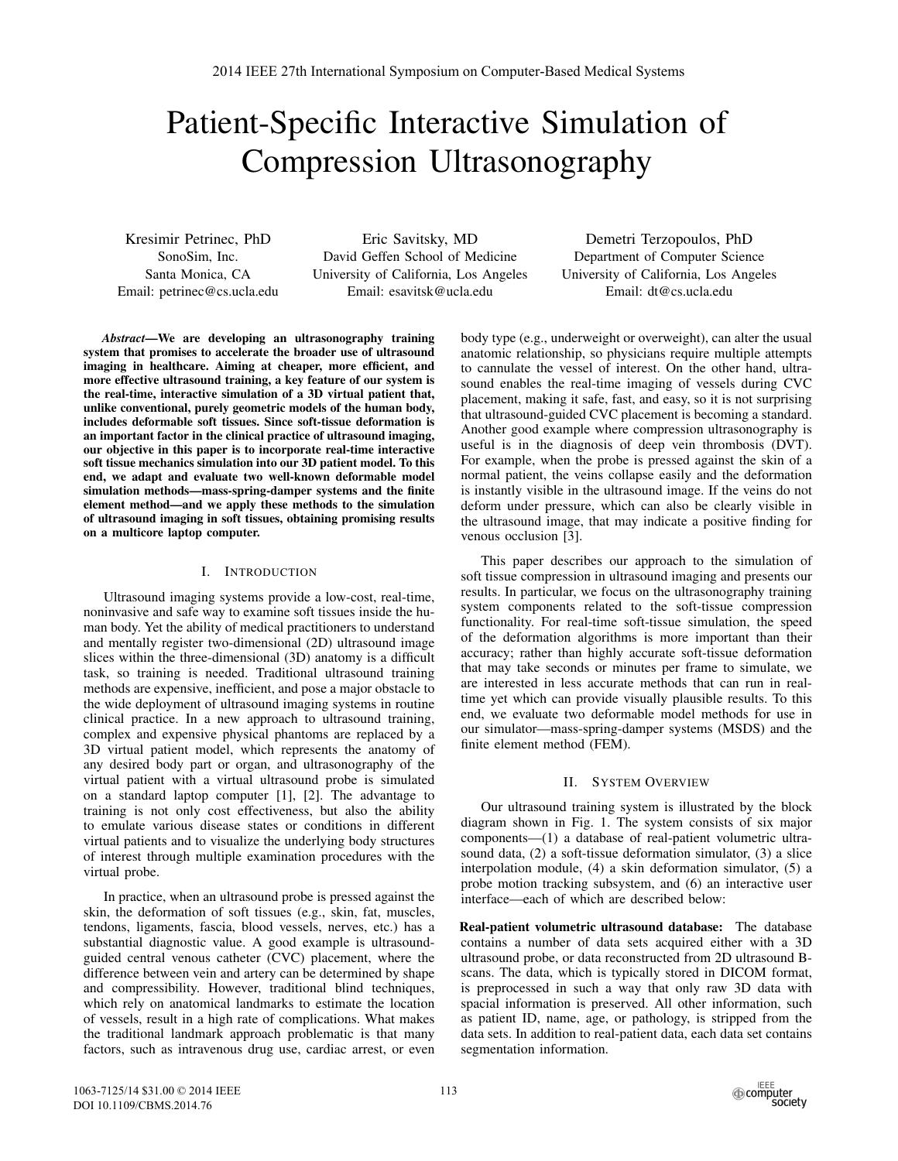# Patient-Specific Interactive Simulation of Compression Ultrasonography

Kresimir Petrinec, PhD SonoSim, Inc. Santa Monica, CA Email: petrinec@cs.ucla.edu

Eric Savitsky, MD David Geffen School of Medicine University of California, Los Angeles Email: esavitsk@ucla.edu

Demetri Terzopoulos, PhD Department of Computer Science University of California, Los Angeles Email: dt@cs.ucla.edu

*Abstract*—We are developing an ultrasonography training system that promises to accelerate the broader use of ultrasound imaging in healthcare. Aiming at cheaper, more efficient, and more effective ultrasound training, a key feature of our system is the real-time, interactive simulation of a 3D virtual patient that, unlike conventional, purely geometric models of the human body, includes deformable soft tissues. Since soft-tissue deformation is an important factor in the clinical practice of ultrasound imaging, our objective in this paper is to incorporate real-time interactive soft tissue mechanics simulation into our 3D patient model. To this end, we adapt and evaluate two well-known deformable model simulation methods—mass-spring-damper systems and the finite element method—and we apply these methods to the simulation of ultrasound imaging in soft tissues, obtaining promising results on a multicore laptop computer.

## I. INTRODUCTION

Ultrasound imaging systems provide a low-cost, real-time, noninvasive and safe way to examine soft tissues inside the human body. Yet the ability of medical practitioners to understand and mentally register two-dimensional (2D) ultrasound image slices within the three-dimensional (3D) anatomy is a difficult task, so training is needed. Traditional ultrasound training methods are expensive, inefficient, and pose a major obstacle to the wide deployment of ultrasound imaging systems in routine clinical practice. In a new approach to ultrasound training, complex and expensive physical phantoms are replaced by a 3D virtual patient model, which represents the anatomy of any desired body part or organ, and ultrasonography of the virtual patient with a virtual ultrasound probe is simulated on a standard laptop computer [1], [2]. The advantage to training is not only cost effectiveness, but also the ability to emulate various disease states or conditions in different virtual patients and to visualize the underlying body structures of interest through multiple examination procedures with the virtual probe.

In practice, when an ultrasound probe is pressed against the skin, the deformation of soft tissues (e.g., skin, fat, muscles, tendons, ligaments, fascia, blood vessels, nerves, etc.) has a substantial diagnostic value. A good example is ultrasoundguided central venous catheter (CVC) placement, where the difference between vein and artery can be determined by shape and compressibility. However, traditional blind techniques, which rely on anatomical landmarks to estimate the location of vessels, result in a high rate of complications. What makes the traditional landmark approach problematic is that many factors, such as intravenous drug use, cardiac arrest, or even body type (e.g., underweight or overweight), can alter the usual anatomic relationship, so physicians require multiple attempts to cannulate the vessel of interest. On the other hand, ultrasound enables the real-time imaging of vessels during CVC placement, making it safe, fast, and easy, so it is not surprising that ultrasound-guided CVC placement is becoming a standard. Another good example where compression ultrasonography is useful is in the diagnosis of deep vein thrombosis (DVT). For example, when the probe is pressed against the skin of a normal patient, the veins collapse easily and the deformation is instantly visible in the ultrasound image. If the veins do not deform under pressure, which can also be clearly visible in the ultrasound image, that may indicate a positive finding for venous occlusion [3].

This paper describes our approach to the simulation of soft tissue compression in ultrasound imaging and presents our results. In particular, we focus on the ultrasonography training system components related to the soft-tissue compression functionality. For real-time soft-tissue simulation, the speed of the deformation algorithms is more important than their accuracy; rather than highly accurate soft-tissue deformation that may take seconds or minutes per frame to simulate, we are interested in less accurate methods that can run in realtime yet which can provide visually plausible results. To this end, we evaluate two deformable model methods for use in our simulator—mass-spring-damper systems (MSDS) and the finite element method (FEM).

## II. SYSTEM OVERVIEW

Our ultrasound training system is illustrated by the block diagram shown in Fig. 1. The system consists of six major components—(1) a database of real-patient volumetric ultrasound data, (2) a soft-tissue deformation simulator, (3) a slice interpolation module, (4) a skin deformation simulator, (5) a probe motion tracking subsystem, and (6) an interactive user interface—each of which are described below:

Real-patient volumetric ultrasound database: The database contains a number of data sets acquired either with a 3D ultrasound probe, or data reconstructed from 2D ultrasound Bscans. The data, which is typically stored in DICOM format, is preprocessed in such a way that only raw 3D data with spacial information is preserved. All other information, such as patient ID, name, age, or pathology, is stripped from the data sets. In addition to real-patient data, each data set contains segmentation information.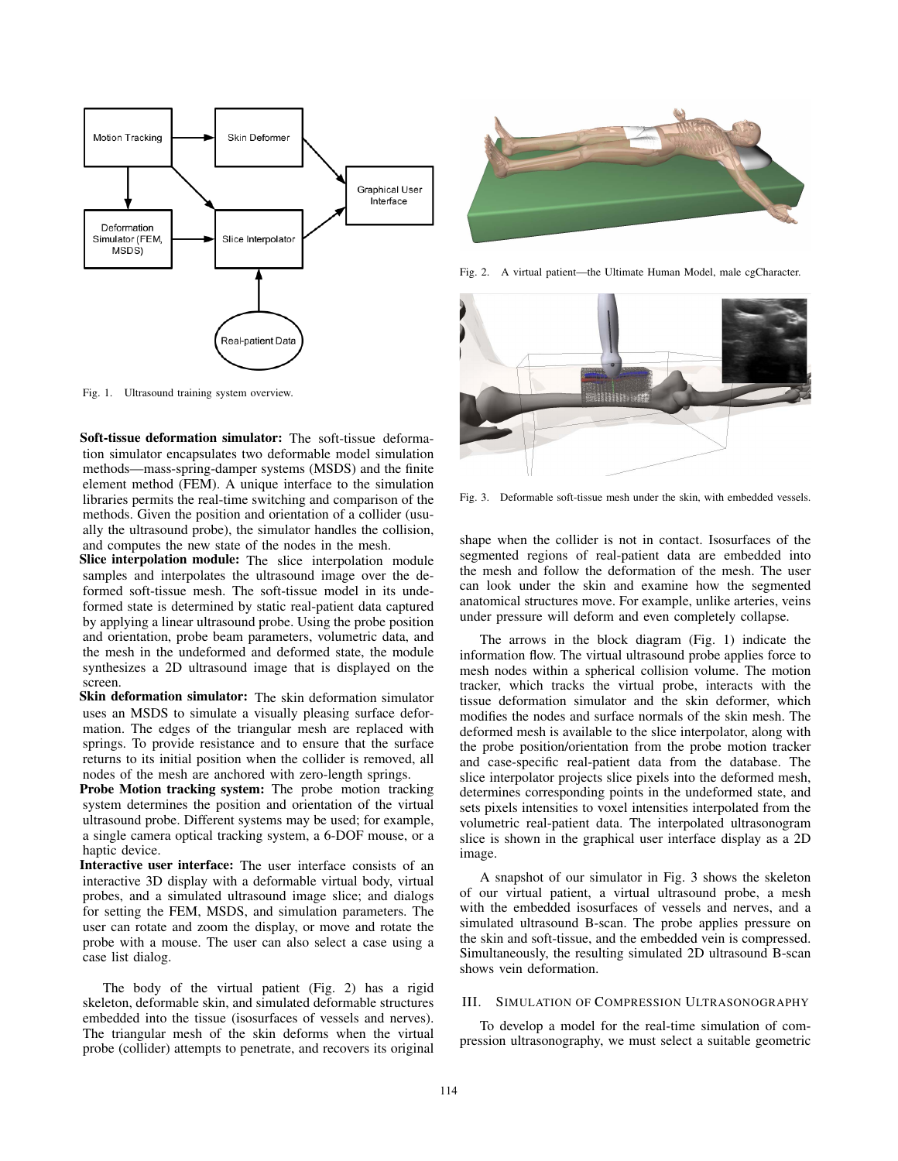

Fig. 1. Ultrasound training system overview.

Soft-tissue deformation simulator: The soft-tissue deformation simulator encapsulates two deformable model simulation methods—mass-spring-damper systems (MSDS) and the finite element method (FEM). A unique interface to the simulation libraries permits the real-time switching and comparison of the methods. Given the position and orientation of a collider (usually the ultrasound probe), the simulator handles the collision, and computes the new state of the nodes in the mesh.

Slice interpolation module: The slice interpolation module samples and interpolates the ultrasound image over the deformed soft-tissue mesh. The soft-tissue model in its undeformed state is determined by static real-patient data captured by applying a linear ultrasound probe. Using the probe position and orientation, probe beam parameters, volumetric data, and the mesh in the undeformed and deformed state, the module synthesizes a 2D ultrasound image that is displayed on the screen.

Skin deformation simulator: The skin deformation simulator uses an MSDS to simulate a visually pleasing surface deformation. The edges of the triangular mesh are replaced with springs. To provide resistance and to ensure that the surface returns to its initial position when the collider is removed, all nodes of the mesh are anchored with zero-length springs.

Probe Motion tracking system: The probe motion tracking system determines the position and orientation of the virtual ultrasound probe. Different systems may be used; for example, a single camera optical tracking system, a 6-DOF mouse, or a haptic device.

Interactive user interface: The user interface consists of an interactive 3D display with a deformable virtual body, virtual probes, and a simulated ultrasound image slice; and dialogs for setting the FEM, MSDS, and simulation parameters. The user can rotate and zoom the display, or move and rotate the probe with a mouse. The user can also select a case using a case list dialog.

The body of the virtual patient (Fig. 2) has a rigid skeleton, deformable skin, and simulated deformable structures embedded into the tissue (isosurfaces of vessels and nerves). The triangular mesh of the skin deforms when the virtual probe (collider) attempts to penetrate, and recovers its original



Fig. 2. A virtual patient—the Ultimate Human Model, male cgCharacter.



Fig. 3. Deformable soft-tissue mesh under the skin, with embedded vessels.

shape when the collider is not in contact. Isosurfaces of the segmented regions of real-patient data are embedded into the mesh and follow the deformation of the mesh. The user can look under the skin and examine how the segmented anatomical structures move. For example, unlike arteries, veins under pressure will deform and even completely collapse.

The arrows in the block diagram (Fig. 1) indicate the information flow. The virtual ultrasound probe applies force to mesh nodes within a spherical collision volume. The motion tracker, which tracks the virtual probe, interacts with the tissue deformation simulator and the skin deformer, which modifies the nodes and surface normals of the skin mesh. The deformed mesh is available to the slice interpolator, along with the probe position/orientation from the probe motion tracker and case-specific real-patient data from the database. The slice interpolator projects slice pixels into the deformed mesh, determines corresponding points in the undeformed state, and sets pixels intensities to voxel intensities interpolated from the volumetric real-patient data. The interpolated ultrasonogram slice is shown in the graphical user interface display as a 2D image.

A snapshot of our simulator in Fig. 3 shows the skeleton of our virtual patient, a virtual ultrasound probe, a mesh with the embedded isosurfaces of vessels and nerves, and a simulated ultrasound B-scan. The probe applies pressure on the skin and soft-tissue, and the embedded vein is compressed. Simultaneously, the resulting simulated 2D ultrasound B-scan shows vein deformation.

## III. SIMULATION OF COMPRESSION ULTRASONOGRAPHY

To develop a model for the real-time simulation of compression ultrasonography, we must select a suitable geometric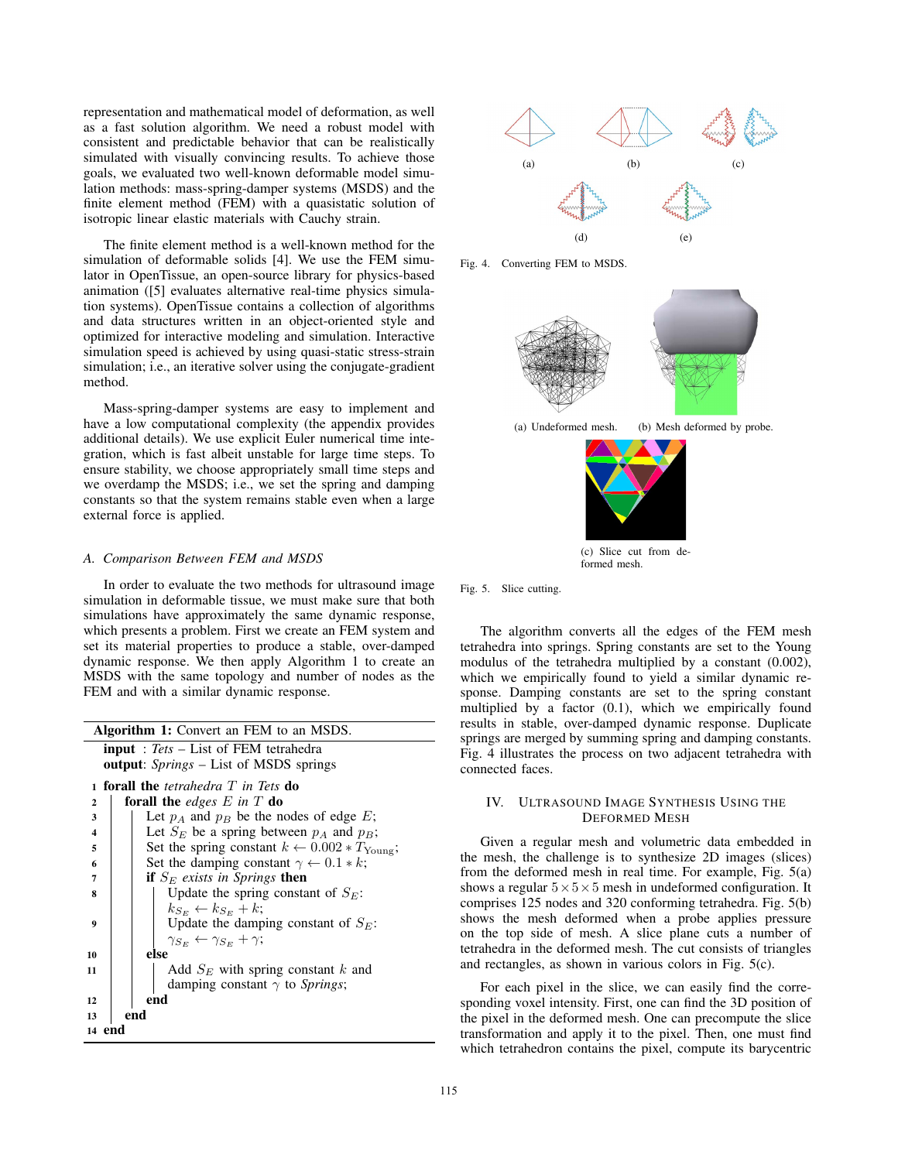representation and mathematical model of deformation, as well as a fast solution algorithm. We need a robust model with consistent and predictable behavior that can be realistically simulated with visually convincing results. To achieve those goals, we evaluated two well-known deformable model simulation methods: mass-spring-damper systems (MSDS) and the finite element method (FEM) with a quasistatic solution of isotropic linear elastic materials with Cauchy strain.

The finite element method is a well-known method for the simulation of deformable solids [4]. We use the FEM simulator in OpenTissue, an open-source library for physics-based animation ([5] evaluates alternative real-time physics simulation systems). OpenTissue contains a collection of algorithms and data structures written in an object-oriented style and optimized for interactive modeling and simulation. Interactive simulation speed is achieved by using quasi-static stress-strain simulation; i.e., an iterative solver using the conjugate-gradient method.

Mass-spring-damper systems are easy to implement and have a low computational complexity (the appendix provides additional details). We use explicit Euler numerical time integration, which is fast albeit unstable for large time steps. To ensure stability, we choose appropriately small time steps and we overdamp the MSDS; i.e., we set the spring and damping constants so that the system remains stable even when a large external force is applied.

## *A. Comparison Between FEM and MSDS*

In order to evaluate the two methods for ultrasound image simulation in deformable tissue, we must make sure that both simulations have approximately the same dynamic response, which presents a problem. First we create an FEM system and set its material properties to produce a stable, over-damped dynamic response. We then apply Algorithm 1 to create an MSDS with the same topology and number of nodes as the FEM and with a similar dynamic response.

| Algorithm 1: Convert an FEM to an MSDS.        |  |
|------------------------------------------------|--|
| <b>input</b> : Tets $-$ List of FEM tetrahedra |  |

|                         | <b>output:</b> Springs $-$ List of MSDS springs                    |
|-------------------------|--------------------------------------------------------------------|
|                         | 1 <b>forall the</b> <i>tetrahedra</i> $T$ <i>in Tets</i> <b>do</b> |
| $\mathbf{2}$            | forall the <i>edges</i> $E$ in $T$ do                              |
| 3                       | Let $p_A$ and $p_B$ be the nodes of edge E;                        |
| $\overline{\mathbf{4}}$ | Let $S_E$ be a spring between $p_A$ and $p_B$ ;                    |
| 5                       | Set the spring constant $k \leftarrow 0.002 * T_{\text{Young}}$ ;  |
| 6                       | Set the damping constant $\gamma \leftarrow 0.1 * k$ ;             |
| 7                       | if $S_F$ exists in Springs then                                    |
| 8                       | Update the spring constant of $S_E$ :                              |
|                         | $k_{S_E} \leftarrow k_{S_E} + k;$                                  |
| 9                       | Update the damping constant of $S_E$ :                             |
|                         | $\gamma_{S_E} \leftarrow \gamma_{S_E} + \gamma;$                   |
| 10                      | else                                                               |
| 11                      | Add $S_F$ with spring constant k and                               |
|                         | damping constant $\gamma$ to Springs;                              |
| 12                      | end                                                                |
| 13                      | end                                                                |
|                         | 14 end                                                             |
|                         |                                                                    |



Fig. 4. Converting FEM to MSDS.



(c) Slice cut from deformed mesh.

Fig. 5. Slice cutting.

The algorithm converts all the edges of the FEM mesh tetrahedra into springs. Spring constants are set to the Young modulus of the tetrahedra multiplied by a constant (0.002), which we empirically found to yield a similar dynamic response. Damping constants are set to the spring constant multiplied by a factor (0.1), which we empirically found results in stable, over-damped dynamic response. Duplicate springs are merged by summing spring and damping constants. Fig. 4 illustrates the process on two adjacent tetrahedra with connected faces.

## IV. ULTRASOUND IMAGE SYNTHESIS USING THE DEFORMED MESH

Given a regular mesh and volumetric data embedded in the mesh, the challenge is to synthesize 2D images (slices) from the deformed mesh in real time. For example, Fig. 5(a) shows a regular  $5 \times 5 \times 5$  mesh in undeformed configuration. It comprises 125 nodes and 320 conforming tetrahedra. Fig. 5(b) shows the mesh deformed when a probe applies pressure on the top side of mesh. A slice plane cuts a number of tetrahedra in the deformed mesh. The cut consists of triangles and rectangles, as shown in various colors in Fig. 5(c).

For each pixel in the slice, we can easily find the corresponding voxel intensity. First, one can find the 3D position of the pixel in the deformed mesh. One can precompute the slice transformation and apply it to the pixel. Then, one must find which tetrahedron contains the pixel, compute its barycentric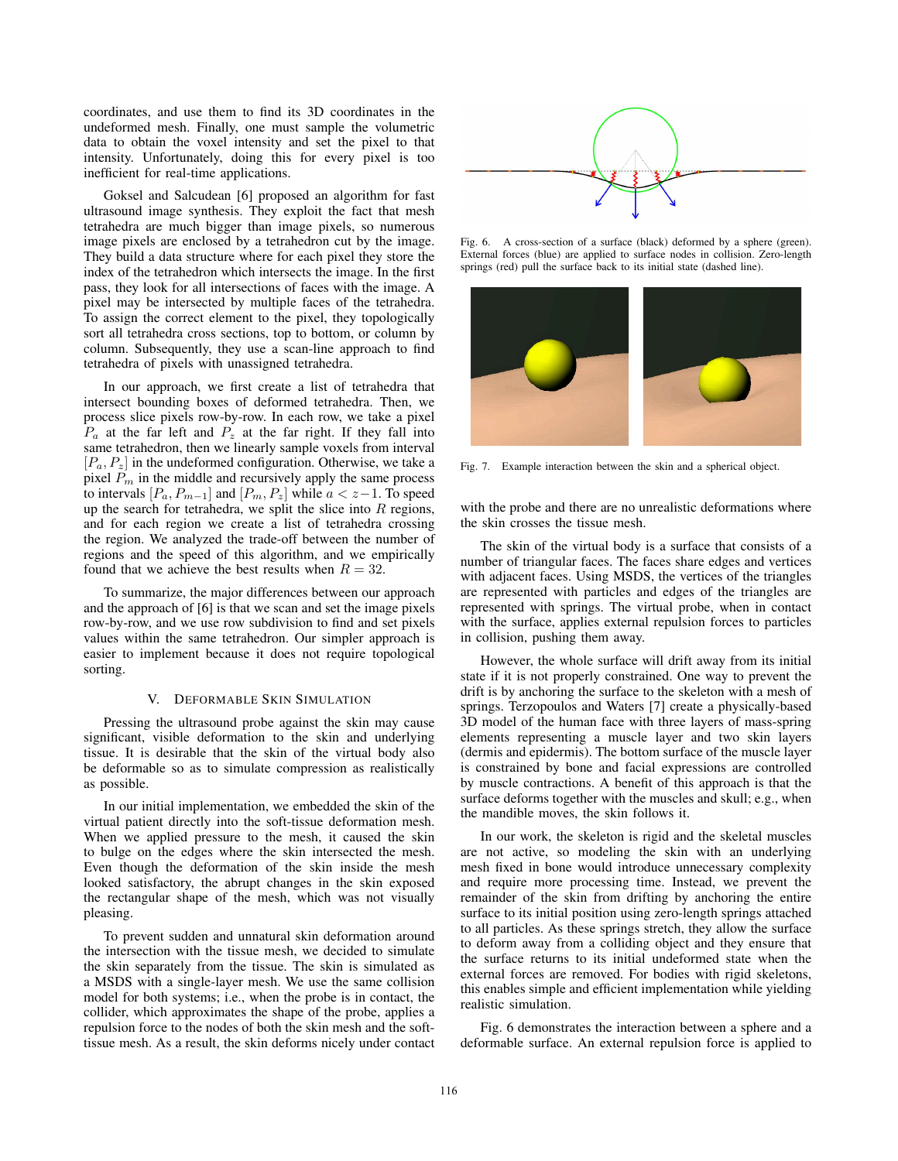coordinates, and use them to find its 3D coordinates in the undeformed mesh. Finally, one must sample the volumetric data to obtain the voxel intensity and set the pixel to that intensity. Unfortunately, doing this for every pixel is too inefficient for real-time applications.

Goksel and Salcudean [6] proposed an algorithm for fast ultrasound image synthesis. They exploit the fact that mesh tetrahedra are much bigger than image pixels, so numerous image pixels are enclosed by a tetrahedron cut by the image. They build a data structure where for each pixel they store the index of the tetrahedron which intersects the image. In the first pass, they look for all intersections of faces with the image. A pixel may be intersected by multiple faces of the tetrahedra. To assign the correct element to the pixel, they topologically sort all tetrahedra cross sections, top to bottom, or column by column. Subsequently, they use a scan-line approach to find tetrahedra of pixels with unassigned tetrahedra.

In our approach, we first create a list of tetrahedra that intersect bounding boxes of deformed tetrahedra. Then, we process slice pixels row-by-row. In each row, we take a pixel  $P_a$  at the far left and  $P_z$  at the far right. If they fall into same tetrahedron, then we linearly sample voxels from interval  $[P_a, P_z]$  in the undeformed configuration. Otherwise, we take a pixel  $P_m$  in the middle and recursively apply the same process to intervals  $[P_a, P_{m-1}]$  and  $[P_m, P_z]$  while  $a < z-1$ . To speed up the search for tetrahedra, we split the slice into  $R$  regions, and for each region we create a list of tetrahedra crossing the region. We analyzed the trade-off between the number of regions and the speed of this algorithm, and we empirically found that we achieve the best results when  $R = 32$ .

To summarize, the major differences between our approach and the approach of [6] is that we scan and set the image pixels row-by-row, and we use row subdivision to find and set pixels values within the same tetrahedron. Our simpler approach is easier to implement because it does not require topological sorting.

#### V. DEFORMABLE SKIN SIMULATION

Pressing the ultrasound probe against the skin may cause significant, visible deformation to the skin and underlying tissue. It is desirable that the skin of the virtual body also be deformable so as to simulate compression as realistically as possible.

In our initial implementation, we embedded the skin of the virtual patient directly into the soft-tissue deformation mesh. When we applied pressure to the mesh, it caused the skin to bulge on the edges where the skin intersected the mesh. Even though the deformation of the skin inside the mesh looked satisfactory, the abrupt changes in the skin exposed the rectangular shape of the mesh, which was not visually pleasing.

To prevent sudden and unnatural skin deformation around the intersection with the tissue mesh, we decided to simulate the skin separately from the tissue. The skin is simulated as a MSDS with a single-layer mesh. We use the same collision model for both systems; i.e., when the probe is in contact, the collider, which approximates the shape of the probe, applies a repulsion force to the nodes of both the skin mesh and the softtissue mesh. As a result, the skin deforms nicely under contact



Fig. 6. A cross-section of a surface (black) deformed by a sphere (green). External forces (blue) are applied to surface nodes in collision. Zero-length springs (red) pull the surface back to its initial state (dashed line).



Fig. 7. Example interaction between the skin and a spherical object.

with the probe and there are no unrealistic deformations where the skin crosses the tissue mesh.

The skin of the virtual body is a surface that consists of a number of triangular faces. The faces share edges and vertices with adjacent faces. Using MSDS, the vertices of the triangles are represented with particles and edges of the triangles are represented with springs. The virtual probe, when in contact with the surface, applies external repulsion forces to particles in collision, pushing them away.

However, the whole surface will drift away from its initial state if it is not properly constrained. One way to prevent the drift is by anchoring the surface to the skeleton with a mesh of springs. Terzopoulos and Waters [7] create a physically-based 3D model of the human face with three layers of mass-spring elements representing a muscle layer and two skin layers (dermis and epidermis). The bottom surface of the muscle layer is constrained by bone and facial expressions are controlled by muscle contractions. A benefit of this approach is that the surface deforms together with the muscles and skull; e.g., when the mandible moves, the skin follows it.

In our work, the skeleton is rigid and the skeletal muscles are not active, so modeling the skin with an underlying mesh fixed in bone would introduce unnecessary complexity and require more processing time. Instead, we prevent the remainder of the skin from drifting by anchoring the entire surface to its initial position using zero-length springs attached to all particles. As these springs stretch, they allow the surface to deform away from a colliding object and they ensure that the surface returns to its initial undeformed state when the external forces are removed. For bodies with rigid skeletons, this enables simple and efficient implementation while yielding realistic simulation.

Fig. 6 demonstrates the interaction between a sphere and a deformable surface. An external repulsion force is applied to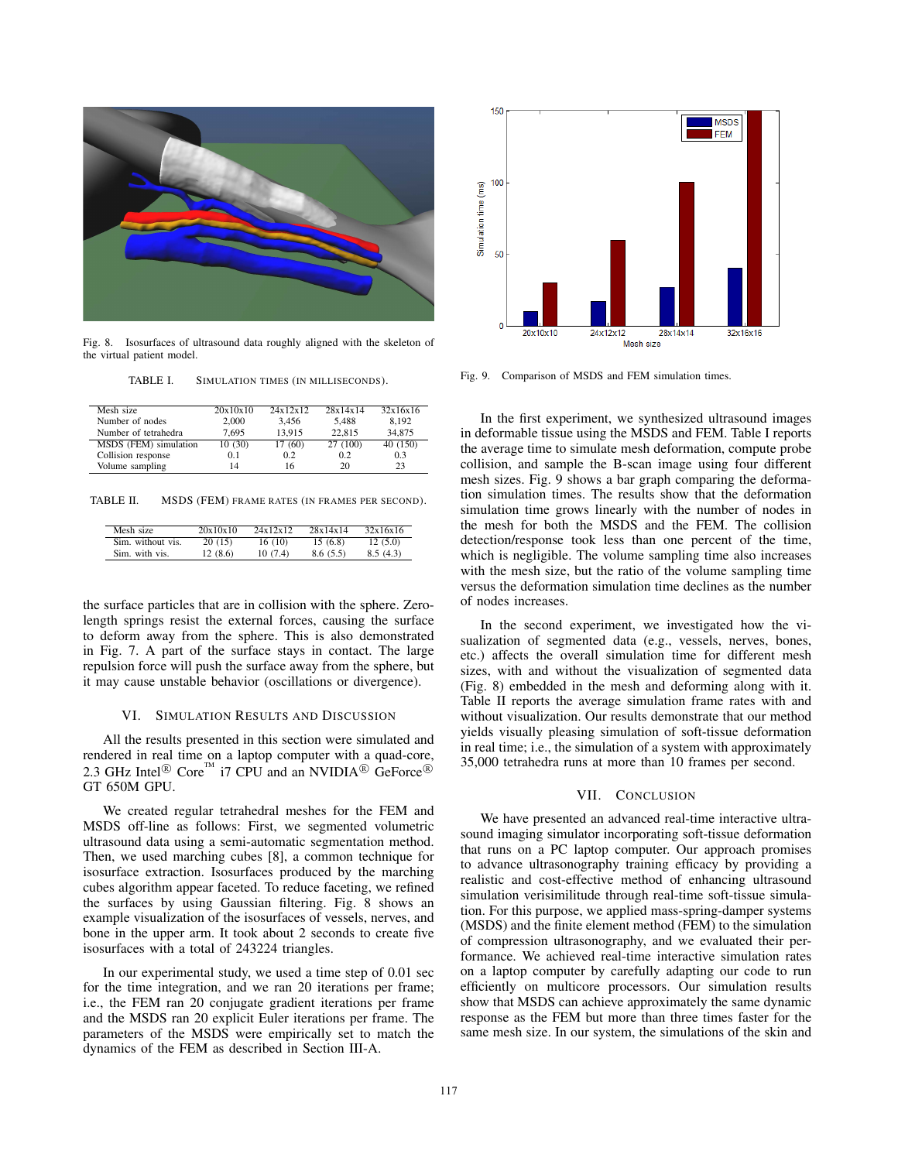

Fig. 8. Isosurfaces of ultrasound data roughly aligned with the skeleton of the virtual patient model.

TABLE I. SIMULATION TIMES (IN MILLISECONDS).

| Mesh size             | 20x10x10 | 24x12x12 | 28x14x14 | 32x16x16 |
|-----------------------|----------|----------|----------|----------|
| Number of nodes       | 2.000    | 3.456    | 5.488    | 8.192    |
| Number of tetrahedra  | 7.695    | 13.915   | 22,815   | 34.875   |
| MSDS (FEM) simulation | 10(30)   | 17 (60)  | 27 (100) | 40 (150) |
| Collision response    | 0.1      | 0.2      | 0.2      | 0.3      |
| Volume sampling       | 14       | 16       | 20       | 23       |

TABLE II. MSDS (FEM) FRAME RATES (IN FRAMES PER SECOND).

| Mesh size         | 20x10x10 | 24x12x12 | 28x14x14 | 32x16x16 |
|-------------------|----------|----------|----------|----------|
| Sim. without vis. | 20(15)   | 16 (10)  | 15(6.8)  | 12(5.0)  |
| Sim. with vis.    | 12(8.6)  | 10(7.4)  | 8.6(5.5) | 8.5(4.3) |

the surface particles that are in collision with the sphere. Zerolength springs resist the external forces, causing the surface to deform away from the sphere. This is also demonstrated in Fig. 7. A part of the surface stays in contact. The large repulsion force will push the surface away from the sphere, but it may cause unstable behavior (oscillations or divergence).

## VI. SIMULATION RESULTS AND DISCUSSION

All the results presented in this section were simulated and rendered in real time on a laptop computer with a quad-core, 2.3 GHz Intel<sup>®</sup> Core<sup>™</sup> i7 CPU and an NVIDIA<sup>®</sup> GeForce<sup>®</sup> GT 650M GPU.

We created regular tetrahedral meshes for the FEM and MSDS off-line as follows: First, we segmented volumetric ultrasound data using a semi-automatic segmentation method. Then, we used marching cubes [8], a common technique for isosurface extraction. Isosurfaces produced by the marching cubes algorithm appear faceted. To reduce faceting, we refined the surfaces by using Gaussian filtering. Fig. 8 shows an example visualization of the isosurfaces of vessels, nerves, and bone in the upper arm. It took about 2 seconds to create five isosurfaces with a total of 243224 triangles.

In our experimental study, we used a time step of 0.01 sec for the time integration, and we ran 20 iterations per frame; i.e., the FEM ran 20 conjugate gradient iterations per frame and the MSDS ran 20 explicit Euler iterations per frame. The parameters of the MSDS were empirically set to match the dynamics of the FEM as described in Section III-A.



Fig. 9. Comparison of MSDS and FEM simulation times.

In the first experiment, we synthesized ultrasound images in deformable tissue using the MSDS and FEM. Table I reports the average time to simulate mesh deformation, compute probe collision, and sample the B-scan image using four different mesh sizes. Fig. 9 shows a bar graph comparing the deformation simulation times. The results show that the deformation simulation time grows linearly with the number of nodes in the mesh for both the MSDS and the FEM. The collision detection/response took less than one percent of the time, which is negligible. The volume sampling time also increases with the mesh size, but the ratio of the volume sampling time versus the deformation simulation time declines as the number of nodes increases.

In the second experiment, we investigated how the visualization of segmented data (e.g., vessels, nerves, bones, etc.) affects the overall simulation time for different mesh sizes, with and without the visualization of segmented data (Fig. 8) embedded in the mesh and deforming along with it. Table II reports the average simulation frame rates with and without visualization. Our results demonstrate that our method yields visually pleasing simulation of soft-tissue deformation in real time; i.e., the simulation of a system with approximately 35,000 tetrahedra runs at more than 10 frames per second.

### VII. CONCLUSION

We have presented an advanced real-time interactive ultrasound imaging simulator incorporating soft-tissue deformation that runs on a PC laptop computer. Our approach promises to advance ultrasonography training efficacy by providing a realistic and cost-effective method of enhancing ultrasound simulation verisimilitude through real-time soft-tissue simulation. For this purpose, we applied mass-spring-damper systems (MSDS) and the finite element method (FEM) to the simulation of compression ultrasonography, and we evaluated their performance. We achieved real-time interactive simulation rates on a laptop computer by carefully adapting our code to run efficiently on multicore processors. Our simulation results show that MSDS can achieve approximately the same dynamic response as the FEM but more than three times faster for the same mesh size. In our system, the simulations of the skin and